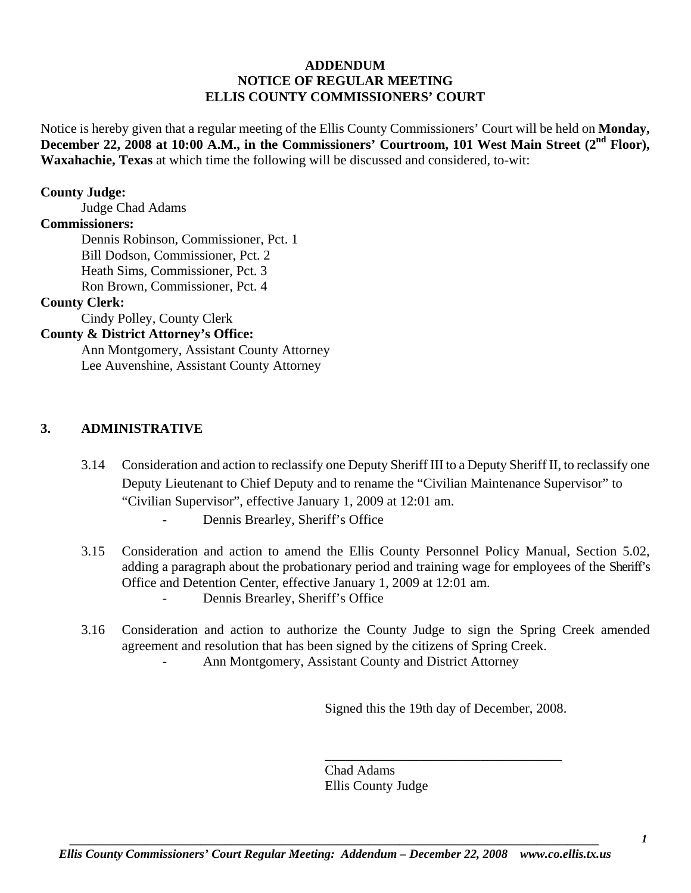# **ADDENDUM NOTICE OF REGULAR MEETING ELLIS COUNTY COMMISSIONERS' COURT**

Notice is hereby given that a regular meeting of the Ellis County Commissioners' Court will be held on **Monday,**  December 22, 2008 at 10:00 A.M., in the Commissioners' Courtroom, 101 West Main Street (2<sup>nd</sup> Floor), **Waxahachie, Texas** at which time the following will be discussed and considered, to-wit:

### **County Judge:**

Judge Chad Adams

### **Commissioners:**

 Dennis Robinson, Commissioner, Pct. 1 Bill Dodson, Commissioner, Pct. 2 Heath Sims, Commissioner, Pct. 3 Ron Brown, Commissioner, Pct. 4

### **County Clerk:**

Cindy Polley, County Clerk

### **County & District Attorney's Office:**

 Ann Montgomery, Assistant County Attorney Lee Auvenshine, Assistant County Attorney

## **3. ADMINISTRATIVE**

- 3.14 Consideration and action to reclassify one Deputy Sheriff III to a Deputy Sheriff II, to reclassify one Deputy Lieutenant to Chief Deputy and to rename the "Civilian Maintenance Supervisor" to "Civilian Supervisor", effective January 1, 2009 at 12:01 am.
	- Dennis Brearley, Sheriff's Office
- 3.15 Consideration and action to amend the Ellis County Personnel Policy Manual, Section 5.02, adding a paragraph about the probationary period and training wage for employees of the Sheriff's Office and Detention Center, effective January 1, 2009 at 12:01 am.
	- Dennis Brearley, Sheriff's Office
- 3.16 Consideration and action to authorize the County Judge to sign the Spring Creek amended agreement and resolution that has been signed by the citizens of Spring Creek. Ann Montgomery, Assistant County and District Attorney

Signed this the 19th day of December, 2008.

\_\_\_\_\_\_\_\_\_\_\_\_\_\_\_\_\_\_\_\_\_\_\_\_\_\_\_\_\_\_\_\_\_\_\_

Chad Adams Ellis County Judge